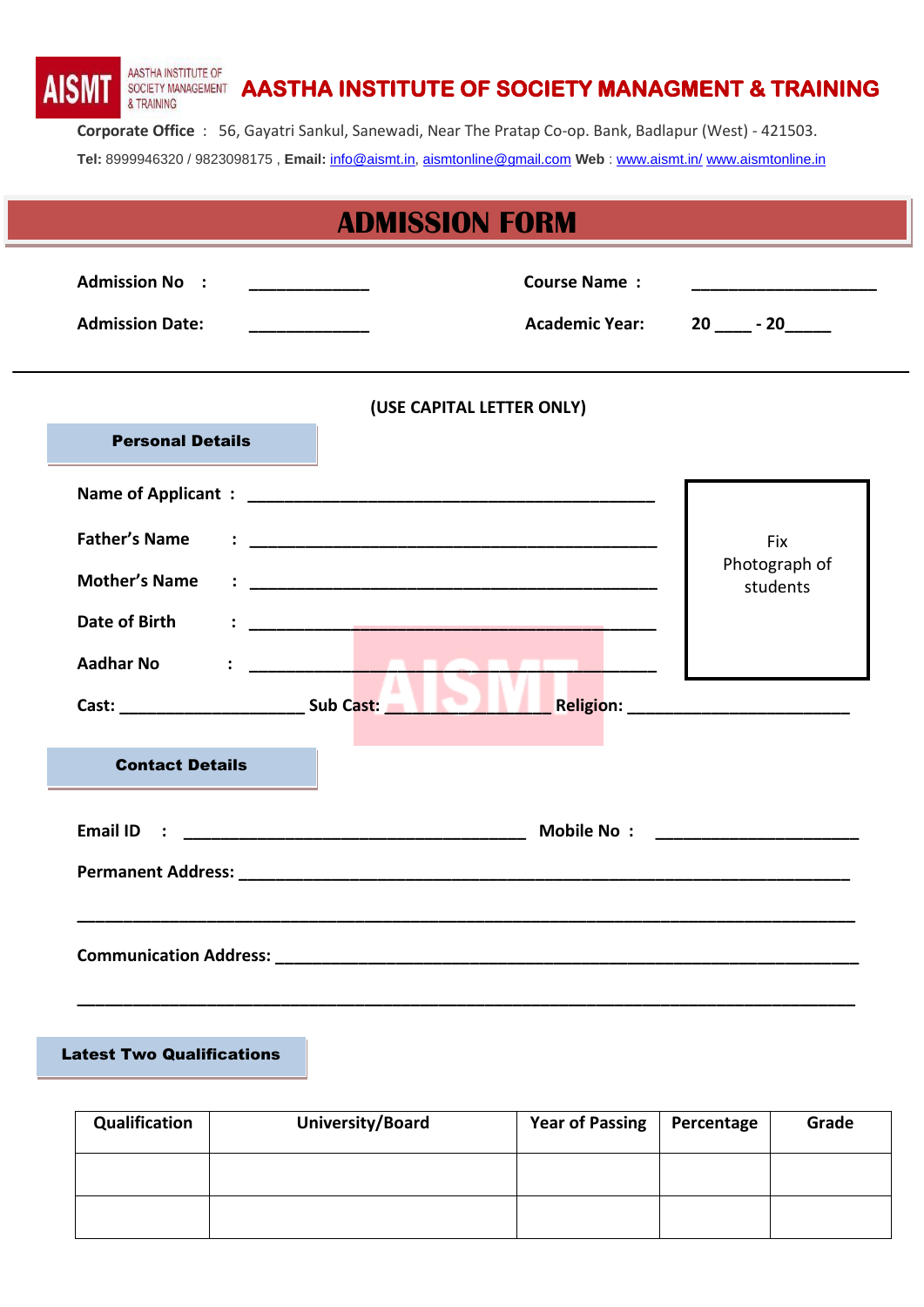AASTHA INSTITUTE OF **AISN** SOCIETY MANAGEMENT **AASTHA INSTITUTE OF SOCIETY MANAGMENT & TRAINING** & TRAINING

**Corporate Office** : 56, Gayatri Sankul, Sanewadi, Near The Pratap Co-op. Bank, Badlapur (West) - 421503. **Tel:** 8999946320 / 9823098175 , **Email:** [info@aismt.in,](mailto:info@aismt.in) [aismtonline@gmail.com](mailto:aismtonline@gmail.com) **Web** : [www.aismt.in/](http://www.aismt.in/) [www.aismtonline.in](http://www.aismtonline.in/)

|                         |                                                     | <b>ADMISSION FORM</b>     |                                                   |
|-------------------------|-----------------------------------------------------|---------------------------|---------------------------------------------------|
| <b>Admission No :</b>   | <u> 1989 - Johann Barbara, martin eta politikar</u> | <b>Course Name:</b>       | <u> 1980 - Johann Barbara, martxa alemaniar a</u> |
| <b>Admission Date:</b>  |                                                     | <b>Academic Year:</b>     | $20 - 20$                                         |
|                         |                                                     | (USE CAPITAL LETTER ONLY) |                                                   |
| <b>Personal Details</b> |                                                     |                           |                                                   |
|                         |                                                     |                           |                                                   |
| <b>Father's Name</b>    |                                                     |                           | Fix                                               |
| <b>Mother's Name</b>    |                                                     |                           | Photograph of<br>students                         |
| Date of Birth           |                                                     |                           |                                                   |
| <b>Aadhar No</b>        | <b><i>CONTRACTOR</i></b>                            |                           |                                                   |
| <b>Contact Details</b>  |                                                     |                           |                                                   |
|                         |                                                     |                           |                                                   |
|                         |                                                     |                           |                                                   |
|                         |                                                     |                           |                                                   |

Latest Two Qualifications

| Qualification | University/Board | Year of Passing | Percentage | Grade |
|---------------|------------------|-----------------|------------|-------|
|               |                  |                 |            |       |
|               |                  |                 |            |       |